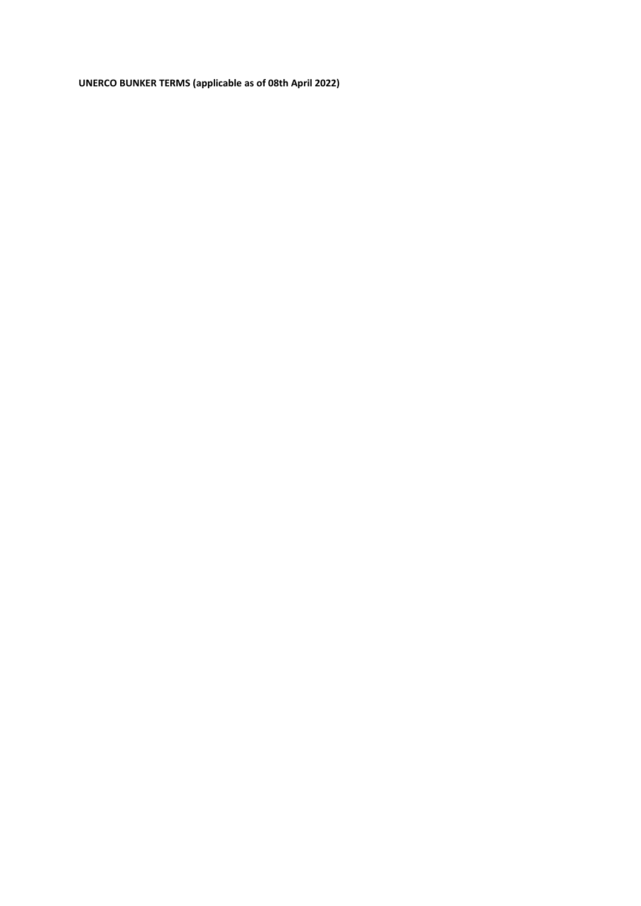**UNERCO BUNKER TERMS (applicable as of 08th April 2022)**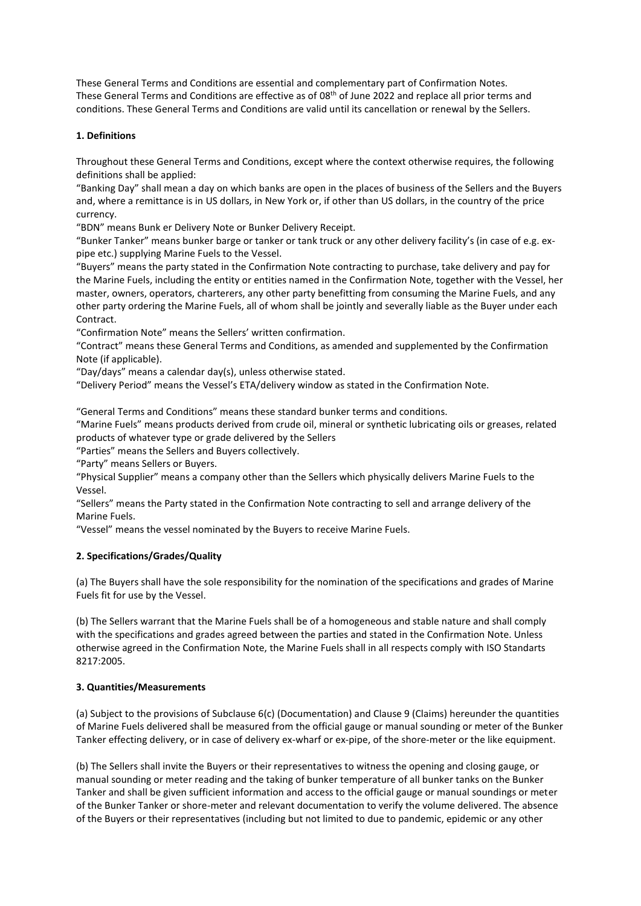These General Terms and Conditions are essential and complementary part of Confirmation Notes. These General Terms and Conditions are effective as of 08th of June 2022 and replace all prior terms and conditions. These General Terms and Conditions are valid until its cancellation or renewal by the Sellers.

# **1. Definitions**

Throughout these General Terms and Conditions, except where the context otherwise requires, the following definitions shall be applied:

"Banking Day" shall mean a day on which banks are open in the places of business of the Sellers and the Buyers and, where a remittance is in US dollars, in New York or, if other than US dollars, in the country of the price currency.

"BDN" means Bunk er Delivery Note or Bunker Delivery Receipt.

"Bunker Tanker" means bunker barge or tanker or tank truck or any other delivery facility's (in case of e.g. expipe etc.) supplying Marine Fuels to the Vessel.

"Buyers" means the party stated in the Confirmation Note contracting to purchase, take delivery and pay for the Marine Fuels, including the entity or entities named in the Confirmation Note, together with the Vessel, her master, owners, operators, charterers, any other party benefitting from consuming the Marine Fuels, and any other party ordering the Marine Fuels, all of whom shall be jointly and severally liable as the Buyer under each Contract.

"Confirmation Note" means the Sellers' written confirmation.

"Contract" means these General Terms and Conditions, as amended and supplemented by the Confirmation Note (if applicable).

"Day/days" means a calendar day(s), unless otherwise stated.

"Delivery Period" means the Vessel's ETA/delivery window as stated in the Confirmation Note.

"General Terms and Conditions" means these standard bunker terms and conditions.

"Marine Fuels" means products derived from crude oil, mineral or synthetic lubricating oils or greases, related products of whatever type or grade delivered by the Sellers

"Parties" means the Sellers and Buyers collectively.

"Party" means Sellers or Buyers.

"Physical Supplier" means a company other than the Sellers which physically delivers Marine Fuels to the Vessel.

"Sellers" means the Party stated in the Confirmation Note contracting to sell and arrange delivery of the Marine Fuels.

"Vessel" means the vessel nominated by the Buyers to receive Marine Fuels.

# **2. Specifications/Grades/Quality**

(a) The Buyers shall have the sole responsibility for the nomination of the specifications and grades of Marine Fuels fit for use by the Vessel.

(b) The Sellers warrant that the Marine Fuels shall be of a homogeneous and stable nature and shall comply with the specifications and grades agreed between the parties and stated in the Confirmation Note. Unless otherwise agreed in the Confirmation Note, the Marine Fuels shall in all respects comply with ISO Standarts 8217:2005.

# **3. Quantities/Measurements**

(a) Subject to the provisions of Subclause 6(c) (Documentation) and Clause 9 (Claims) hereunder the quantities of Marine Fuels delivered shall be measured from the official gauge or manual sounding or meter of the Bunker Tanker effecting delivery, or in case of delivery ex-wharf or ex-pipe, of the shore-meter or the like equipment.

(b) The Sellers shall invite the Buyers or their representatives to witness the opening and closing gauge, or manual sounding or meter reading and the taking of bunker temperature of all bunker tanks on the Bunker Tanker and shall be given sufficient information and access to the official gauge or manual soundings or meter of the Bunker Tanker or shore-meter and relevant documentation to verify the volume delivered. The absence of the Buyers or their representatives (including but not limited to due to pandemic, epidemic or any other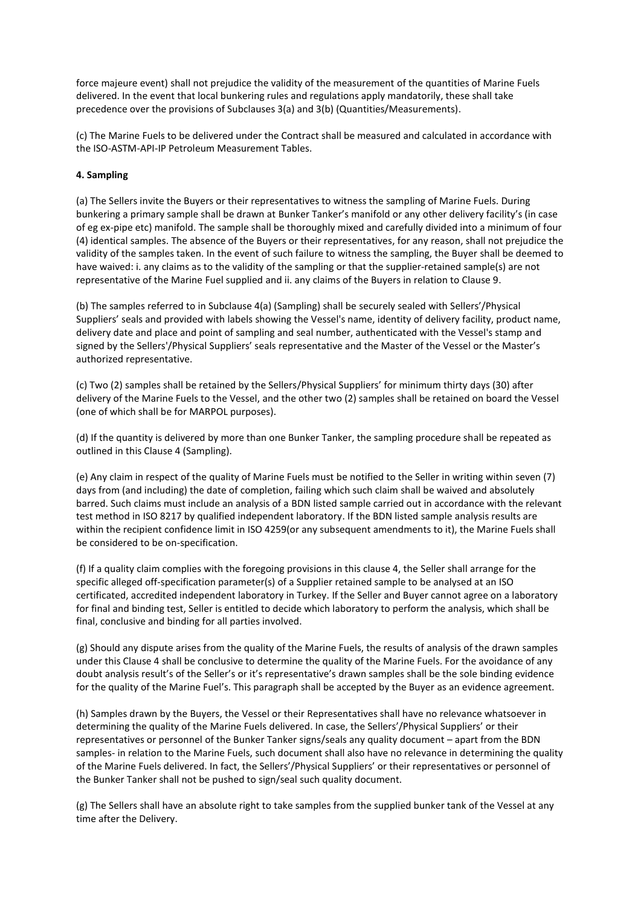force majeure event) shall not prejudice the validity of the measurement of the quantities of Marine Fuels delivered. In the event that local bunkering rules and regulations apply mandatorily, these shall take precedence over the provisions of Subclauses 3(a) and 3(b) (Quantities/Measurements).

(c) The Marine Fuels to be delivered under the Contract shall be measured and calculated in accordance with the ISO-ASTM-API-IP Petroleum Measurement Tables.

# **4. Sampling**

(a) The Sellers invite the Buyers or their representatives to witness the sampling of Marine Fuels. During bunkering a primary sample shall be drawn at Bunker Tanker's manifold or any other delivery facility's (in case of eg ex-pipe etc) manifold. The sample shall be thoroughly mixed and carefully divided into a minimum of four (4) identical samples. The absence of the Buyers or their representatives, for any reason, shall not prejudice the validity of the samples taken. In the event of such failure to witness the sampling, the Buyer shall be deemed to have waived: i. any claims as to the validity of the sampling or that the supplier-retained sample(s) are not representative of the Marine Fuel supplied and ii. any claims of the Buyers in relation to Clause 9.

(b) The samples referred to in Subclause 4(a) (Sampling) shall be securely sealed with Sellers'/Physical Suppliers' seals and provided with labels showing the Vessel's name, identity of delivery facility, product name, delivery date and place and point of sampling and seal number, authenticated with the Vessel's stamp and signed by the Sellers'/Physical Suppliers' seals representative and the Master of the Vessel or the Master's authorized representative.

(c) Two (2) samples shall be retained by the Sellers/Physical Suppliers' for minimum thirty days (30) after delivery of the Marine Fuels to the Vessel, and the other two (2) samples shall be retained on board the Vessel (one of which shall be for MARPOL purposes).

(d) If the quantity is delivered by more than one Bunker Tanker, the sampling procedure shall be repeated as outlined in this Clause 4 (Sampling).

(e) Any claim in respect of the quality of Marine Fuels must be notified to the Seller in writing within seven (7) days from (and including) the date of completion, failing which such claim shall be waived and absolutely barred. Such claims must include an analysis of a BDN listed sample carried out in accordance with the relevant test method in ISO 8217 by qualified independent laboratory. If the BDN listed sample analysis results are within the recipient confidence limit in ISO 4259(or any subsequent amendments to it), the Marine Fuels shall be considered to be on-specification.

(f) If a quality claim complies with the foregoing provisions in this clause 4, the Seller shall arrange for the specific alleged off-specification parameter(s) of a Supplier retained sample to be analysed at an ISO certificated, accredited independent laboratory in Turkey. If the Seller and Buyer cannot agree on a laboratory for final and binding test, Seller is entitled to decide which laboratory to perform the analysis, which shall be final, conclusive and binding for all parties involved.

(g) Should any dispute arises from the quality of the Marine Fuels, the results of analysis of the drawn samples under this Clause 4 shall be conclusive to determine the quality of the Marine Fuels. For the avoidance of any doubt analysis result's of the Seller's or it's representative's drawn samples shall be the sole binding evidence for the quality of the Marine Fuel's. This paragraph shall be accepted by the Buyer as an evidence agreement.

(h) Samples drawn by the Buyers, the Vessel or their Representatives shall have no relevance whatsoever in determining the quality of the Marine Fuels delivered. In case, the Sellers'/Physical Suppliers' or their representatives or personnel of the Bunker Tanker signs/seals any quality document – apart from the BDN samples- in relation to the Marine Fuels, such document shall also have no relevance in determining the quality of the Marine Fuels delivered. In fact, the Sellers'/Physical Suppliers' or their representatives or personnel of the Bunker Tanker shall not be pushed to sign/seal such quality document.

(g) The Sellers shall have an absolute right to take samples from the supplied bunker tank of the Vessel at any time after the Delivery.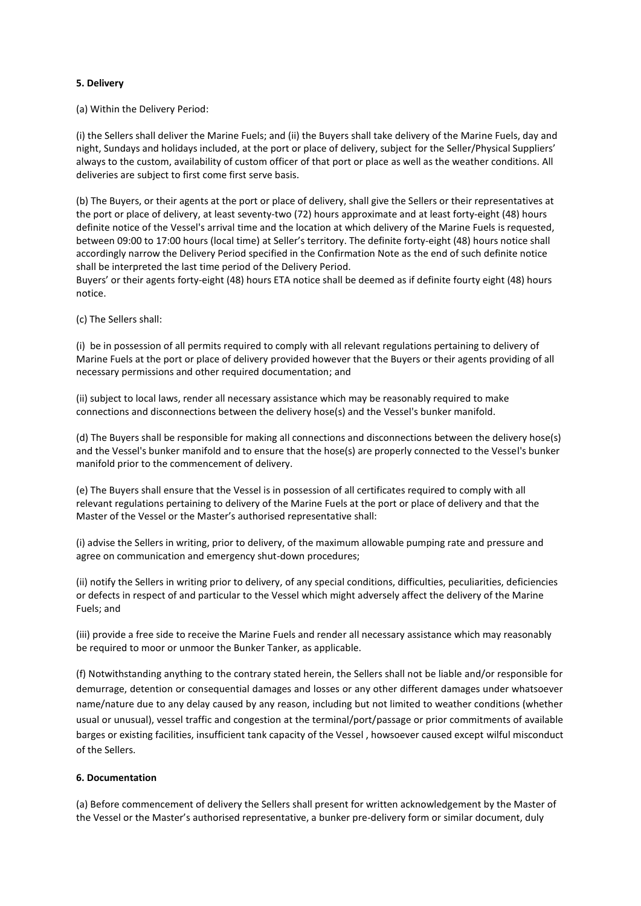### **5. Delivery**

(a) Within the Delivery Period:

(i) the Sellers shall deliver the Marine Fuels; and (ii) the Buyers shall take delivery of the Marine Fuels, day and night, Sundays and holidays included, at the port or place of delivery, subject for the Seller/Physical Suppliers' always to the custom, availability of custom officer of that port or place as well as the weather conditions. All deliveries are subject to first come first serve basis.

(b) The Buyers, or their agents at the port or place of delivery, shall give the Sellers or their representatives at the port or place of delivery, at least seventy-two (72) hours approximate and at least forty-eight (48) hours definite notice of the Vessel's arrival time and the location at which delivery of the Marine Fuels is requested, between 09:00 to 17:00 hours (local time) at Seller's territory. The definite forty-eight (48) hours notice shall accordingly narrow the Delivery Period specified in the Confirmation Note as the end of such definite notice shall be interpreted the last time period of the Delivery Period.

Buyers' or their agents forty-eight (48) hours ETA notice shall be deemed as if definite fourty eight (48) hours notice.

(c) The Sellers shall:

(i) be in possession of all permits required to comply with all relevant regulations pertaining to delivery of Marine Fuels at the port or place of delivery provided however that the Buyers or their agents providing of all necessary permissions and other required documentation; and

(ii) subject to local laws, render all necessary assistance which may be reasonably required to make connections and disconnections between the delivery hose(s) and the Vessel's bunker manifold.

(d) The Buyers shall be responsible for making all connections and disconnections between the delivery hose(s) and the Vessel's bunker manifold and to ensure that the hose(s) are properly connected to the Vessel's bunker manifold prior to the commencement of delivery.

(e) The Buyers shall ensure that the Vessel is in possession of all certificates required to comply with all relevant regulations pertaining to delivery of the Marine Fuels at the port or place of delivery and that the Master of the Vessel or the Master's authorised representative shall:

(i) advise the Sellers in writing, prior to delivery, of the maximum allowable pumping rate and pressure and agree on communication and emergency shut-down procedures;

(ii) notify the Sellers in writing prior to delivery, of any special conditions, difficulties, peculiarities, deficiencies or defects in respect of and particular to the Vessel which might adversely affect the delivery of the Marine Fuels; and

(iii) provide a free side to receive the Marine Fuels and render all necessary assistance which may reasonably be required to moor or unmoor the Bunker Tanker, as applicable.

(f) Notwithstanding anything to the contrary stated herein, the Sellers shall not be liable and/or responsible for demurrage, detention or consequential damages and losses or any other different damages under whatsoever name/nature due to any delay caused by any reason, including but not limited to weather conditions (whether usual or unusual), vessel traffic and congestion at the terminal/port/passage or prior commitments of available barges or existing facilities, insufficient tank capacity of the Vessel , howsoever caused except wilful misconduct of the Sellers.

# **6. Documentation**

(a) Before commencement of delivery the Sellers shall present for written acknowledgement by the Master of the Vessel or the Master's authorised representative, a bunker pre-delivery form or similar document, duly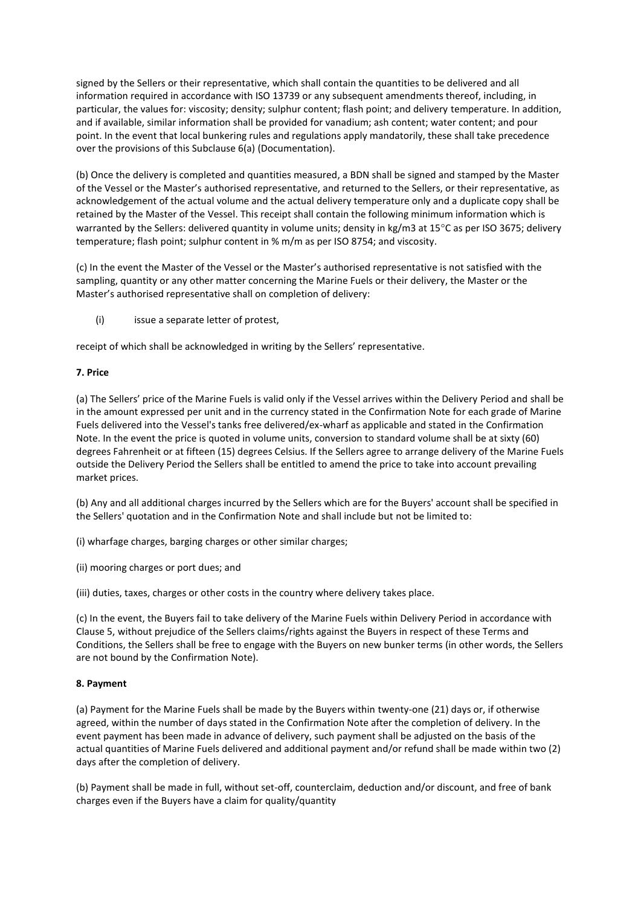signed by the Sellers or their representative, which shall contain the quantities to be delivered and all information required in accordance with ISO 13739 or any subsequent amendments thereof, including, in particular, the values for: viscosity; density; sulphur content; flash point; and delivery temperature. In addition, and if available, similar information shall be provided for vanadium; ash content; water content; and pour point. In the event that local bunkering rules and regulations apply mandatorily, these shall take precedence over the provisions of this Subclause 6(a) (Documentation).

(b) Once the delivery is completed and quantities measured, a BDN shall be signed and stamped by the Master of the Vessel or the Master's authorised representative, and returned to the Sellers, or their representative, as acknowledgement of the actual volume and the actual delivery temperature only and a duplicate copy shall be retained by the Master of the Vessel. This receipt shall contain the following minimum information which is warranted by the Sellers: delivered quantity in volume units; density in kg/m3 at 15°C as per ISO 3675; delivery temperature; flash point; sulphur content in % m/m as per ISO 8754; and viscosity.

(c) In the event the Master of the Vessel or the Master's authorised representative is not satisfied with the sampling, quantity or any other matter concerning the Marine Fuels or their delivery, the Master or the Master's authorised representative shall on completion of delivery:

(i) issue a separate letter of protest,

receipt of which shall be acknowledged in writing by the Sellers' representative.

### **7. Price**

(a) The Sellers' price of the Marine Fuels is valid only if the Vessel arrives within the Delivery Period and shall be in the amount expressed per unit and in the currency stated in the Confirmation Note for each grade of Marine Fuels delivered into the Vessel's tanks free delivered/ex-wharf as applicable and stated in the Confirmation Note. In the event the price is quoted in volume units, conversion to standard volume shall be at sixty (60) degrees Fahrenheit or at fifteen (15) degrees Celsius. If the Sellers agree to arrange delivery of the Marine Fuels outside the Delivery Period the Sellers shall be entitled to amend the price to take into account prevailing market prices.

(b) Any and all additional charges incurred by the Sellers which are for the Buyers' account shall be specified in the Sellers' quotation and in the Confirmation Note and shall include but not be limited to:

(i) wharfage charges, barging charges or other similar charges;

(ii) mooring charges or port dues; and

(iii) duties, taxes, charges or other costs in the country where delivery takes place.

(c) In the event, the Buyers fail to take delivery of the Marine Fuels within Delivery Period in accordance with Clause 5, without prejudice of the Sellers claims/rights against the Buyers in respect of these Terms and Conditions, the Sellers shall be free to engage with the Buyers on new bunker terms (in other words, the Sellers are not bound by the Confirmation Note).

### **8. Payment**

(a) Payment for the Marine Fuels shall be made by the Buyers within twenty-one (21) days or, if otherwise agreed, within the number of days stated in the Confirmation Note after the completion of delivery. In the event payment has been made in advance of delivery, such payment shall be adjusted on the basis of the actual quantities of Marine Fuels delivered and additional payment and/or refund shall be made within two (2) days after the completion of delivery.

(b) Payment shall be made in full, without set-off, counterclaim, deduction and/or discount, and free of bank charges even if the Buyers have a claim for quality/quantity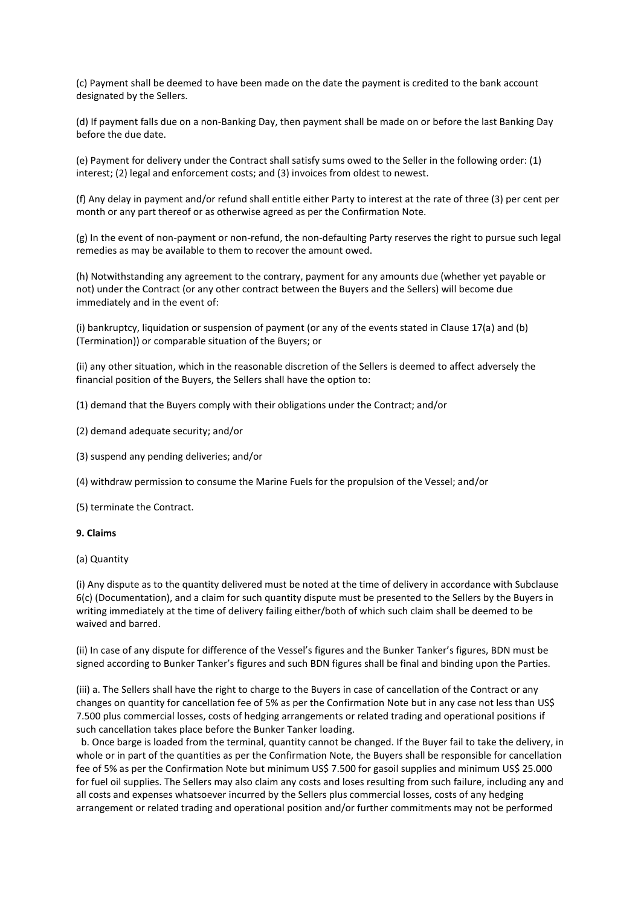(c) Payment shall be deemed to have been made on the date the payment is credited to the bank account designated by the Sellers.

(d) If payment falls due on a non-Banking Day, then payment shall be made on or before the last Banking Day before the due date.

(e) Payment for delivery under the Contract shall satisfy sums owed to the Seller in the following order: (1) interest; (2) legal and enforcement costs; and (3) invoices from oldest to newest.

(f) Any delay in payment and/or refund shall entitle either Party to interest at the rate of three (3) per cent per month or any part thereof or as otherwise agreed as per the Confirmation Note.

(g) In the event of non-payment or non-refund, the non-defaulting Party reserves the right to pursue such legal remedies as may be available to them to recover the amount owed.

(h) Notwithstanding any agreement to the contrary, payment for any amounts due (whether yet payable or not) under the Contract (or any other contract between the Buyers and the Sellers) will become due immediately and in the event of:

(i) bankruptcy, liquidation or suspension of payment (or any of the events stated in Clause 17(a) and (b) (Termination)) or comparable situation of the Buyers; or

(ii) any other situation, which in the reasonable discretion of the Sellers is deemed to affect adversely the financial position of the Buyers, the Sellers shall have the option to:

(1) demand that the Buyers comply with their obligations under the Contract; and/or

- (2) demand adequate security; and/or
- (3) suspend any pending deliveries; and/or

(4) withdraw permission to consume the Marine Fuels for the propulsion of the Vessel; and/or

(5) terminate the Contract.

### **9. Claims**

(a) Quantity

(i) Any dispute as to the quantity delivered must be noted at the time of delivery in accordance with Subclause 6(c) (Documentation), and a claim for such quantity dispute must be presented to the Sellers by the Buyers in writing immediately at the time of delivery failing either/both of which such claim shall be deemed to be waived and barred.

(ii) In case of any dispute for difference of the Vessel's figures and the Bunker Tanker's figures, BDN must be signed according to Bunker Tanker's figures and such BDN figures shall be final and binding upon the Parties.

(iii) a. The Sellers shall have the right to charge to the Buyers in case of cancellation of the Contract or any changes on quantity for cancellation fee of 5% as per the Confirmation Note but in any case not less than US\$ 7.500 plus commercial losses, costs of hedging arrangements or related trading and operational positions if such cancellation takes place before the Bunker Tanker loading.

 b. Once barge is loaded from the terminal, quantity cannot be changed. If the Buyer fail to take the delivery, in whole or in part of the quantities as per the Confirmation Note, the Buyers shall be responsible for cancellation fee of 5% as per the Confirmation Note but minimum US\$ 7.500 for gasoil supplies and minimum US\$ 25.000 for fuel oil supplies. The Sellers may also claim any costs and loses resulting from such failure, including any and all costs and expenses whatsoever incurred by the Sellers plus commercial losses, costs of any hedging arrangement or related trading and operational position and/or further commitments may not be performed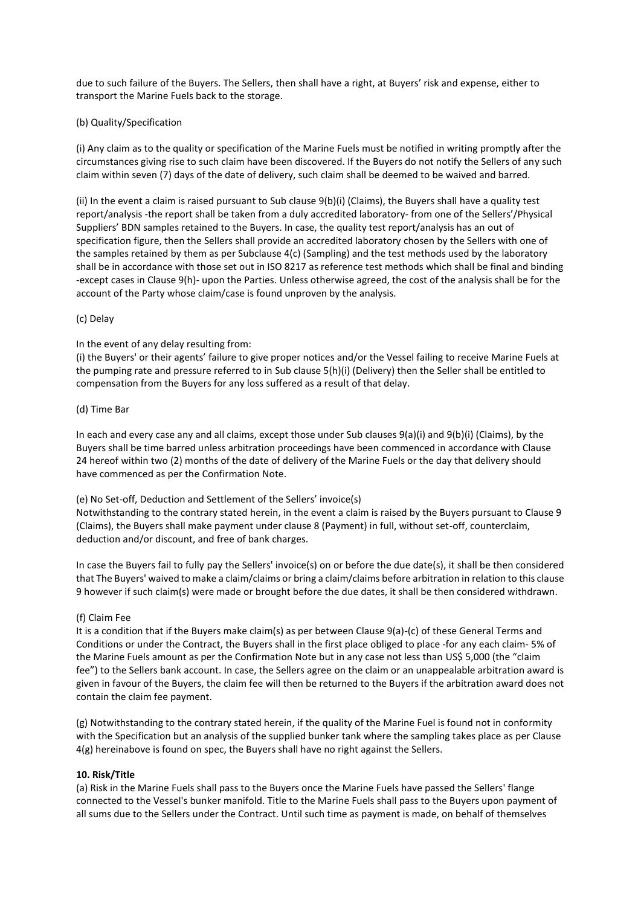due to such failure of the Buyers. The Sellers, then shall have a right, at Buyers' risk and expense, either to transport the Marine Fuels back to the storage.

### (b) Quality/Specification

(i) Any claim as to the quality or specification of the Marine Fuels must be notified in writing promptly after the circumstances giving rise to such claim have been discovered. If the Buyers do not notify the Sellers of any such claim within seven (7) days of the date of delivery, such claim shall be deemed to be waived and barred.

(ii) In the event a claim is raised pursuant to Sub clause 9(b)(i) (Claims), the Buyers shall have a quality test report/analysis -the report shall be taken from a duly accredited laboratory- from one of the Sellers'/Physical Suppliers' BDN samples retained to the Buyers. In case, the quality test report/analysis has an out of specification figure, then the Sellers shall provide an accredited laboratory chosen by the Sellers with one of the samples retained by them as per Subclause 4(c) (Sampling) and the test methods used by the laboratory shall be in accordance with those set out in ISO 8217 as reference test methods which shall be final and binding -except cases in Clause 9(h)- upon the Parties. Unless otherwise agreed, the cost of the analysis shall be for the account of the Party whose claim/case is found unproven by the analysis.

### (c) Delay

# In the event of any delay resulting from:

(i) the Buyers' or their agents' failure to give proper notices and/or the Vessel failing to receive Marine Fuels at the pumping rate and pressure referred to in Sub clause 5(h)(i) (Delivery) then the Seller shall be entitled to compensation from the Buyers for any loss suffered as a result of that delay.

# (d) Time Bar

In each and every case any and all claims, except those under Sub clauses 9(a)(i) and 9(b)(i) (Claims), by the Buyers shall be time barred unless arbitration proceedings have been commenced in accordance with Clause 24 hereof within two (2) months of the date of delivery of the Marine Fuels or the day that delivery should have commenced as per the Confirmation Note.

# (e) No Set-off, Deduction and Settlement of the Sellers' invoice(s)

Notwithstanding to the contrary stated herein, in the event a claim is raised by the Buyers pursuant to Clause 9 (Claims), the Buyers shall make payment under clause 8 (Payment) in full, without set-off, counterclaim, deduction and/or discount, and free of bank charges.

In case the Buyers fail to fully pay the Sellers' invoice(s) on or before the due date(s), it shall be then considered that The Buyers' waived to make a claim/claims or bring a claim/claims before arbitration in relation to this clause 9 however if such claim(s) were made or brought before the due dates, it shall be then considered withdrawn.

# (f) Claim Fee

It is a condition that if the Buyers make claim(s) as per between Clause 9(a)-(c) of these General Terms and Conditions or under the Contract, the Buyers shall in the first place obliged to place -for any each claim- 5% of the Marine Fuels amount as per the Confirmation Note but in any case not less than US\$ 5,000 (the "claim fee") to the Sellers bank account. In case, the Sellers agree on the claim or an unappealable arbitration award is given in favour of the Buyers, the claim fee will then be returned to the Buyers if the arbitration award does not contain the claim fee payment.

(g) Notwithstanding to the contrary stated herein, if the quality of the Marine Fuel is found not in conformity with the Specification but an analysis of the supplied bunker tank where the sampling takes place as per Clause 4(g) hereinabove is found on spec, the Buyers shall have no right against the Sellers.

# **10. Risk/Title**

(a) Risk in the Marine Fuels shall pass to the Buyers once the Marine Fuels have passed the Sellers' flange connected to the Vessel's bunker manifold. Title to the Marine Fuels shall pass to the Buyers upon payment of all sums due to the Sellers under the Contract. Until such time as payment is made, on behalf of themselves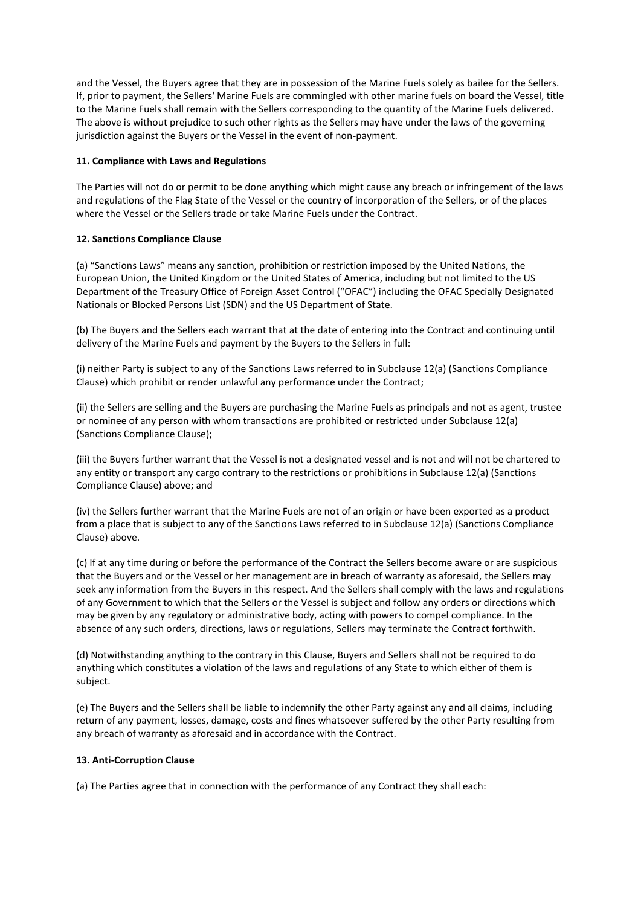and the Vessel, the Buyers agree that they are in possession of the Marine Fuels solely as bailee for the Sellers. If, prior to payment, the Sellers' Marine Fuels are commingled with other marine fuels on board the Vessel, title to the Marine Fuels shall remain with the Sellers corresponding to the quantity of the Marine Fuels delivered. The above is without prejudice to such other rights as the Sellers may have under the laws of the governing jurisdiction against the Buyers or the Vessel in the event of non-payment.

# **11. Compliance with Laws and Regulations**

The Parties will not do or permit to be done anything which might cause any breach or infringement of the laws and regulations of the Flag State of the Vessel or the country of incorporation of the Sellers, or of the places where the Vessel or the Sellers trade or take Marine Fuels under the Contract.

# **12. Sanctions Compliance Clause**

(a) "Sanctions Laws" means any sanction, prohibition or restriction imposed by the United Nations, the European Union, the United Kingdom or the United States of America, including but not limited to the US Department of the Treasury Office of Foreign Asset Control ("OFAC") including the OFAC Specially Designated Nationals or Blocked Persons List (SDN) and the US Department of State.

(b) The Buyers and the Sellers each warrant that at the date of entering into the Contract and continuing until delivery of the Marine Fuels and payment by the Buyers to the Sellers in full:

(i) neither Party is subject to any of the Sanctions Laws referred to in Subclause 12(a) (Sanctions Compliance Clause) which prohibit or render unlawful any performance under the Contract;

(ii) the Sellers are selling and the Buyers are purchasing the Marine Fuels as principals and not as agent, trustee or nominee of any person with whom transactions are prohibited or restricted under Subclause 12(a) (Sanctions Compliance Clause);

(iii) the Buyers further warrant that the Vessel is not a designated vessel and is not and will not be chartered to any entity or transport any cargo contrary to the restrictions or prohibitions in Subclause 12(a) (Sanctions Compliance Clause) above; and

(iv) the Sellers further warrant that the Marine Fuels are not of an origin or have been exported as a product from a place that is subject to any of the Sanctions Laws referred to in Subclause 12(a) (Sanctions Compliance Clause) above.

(c) If at any time during or before the performance of the Contract the Sellers become aware or are suspicious that the Buyers and or the Vessel or her management are in breach of warranty as aforesaid, the Sellers may seek any information from the Buyers in this respect. And the Sellers shall comply with the laws and regulations of any Government to which that the Sellers or the Vessel is subject and follow any orders or directions which may be given by any regulatory or administrative body, acting with powers to compel compliance. In the absence of any such orders, directions, laws or regulations, Sellers may terminate the Contract forthwith.

(d) Notwithstanding anything to the contrary in this Clause, Buyers and Sellers shall not be required to do anything which constitutes a violation of the laws and regulations of any State to which either of them is subject.

(e) The Buyers and the Sellers shall be liable to indemnify the other Party against any and all claims, including return of any payment, losses, damage, costs and fines whatsoever suffered by the other Party resulting from any breach of warranty as aforesaid and in accordance with the Contract.

# **13. Anti-Corruption Clause**

(a) The Parties agree that in connection with the performance of any Contract they shall each: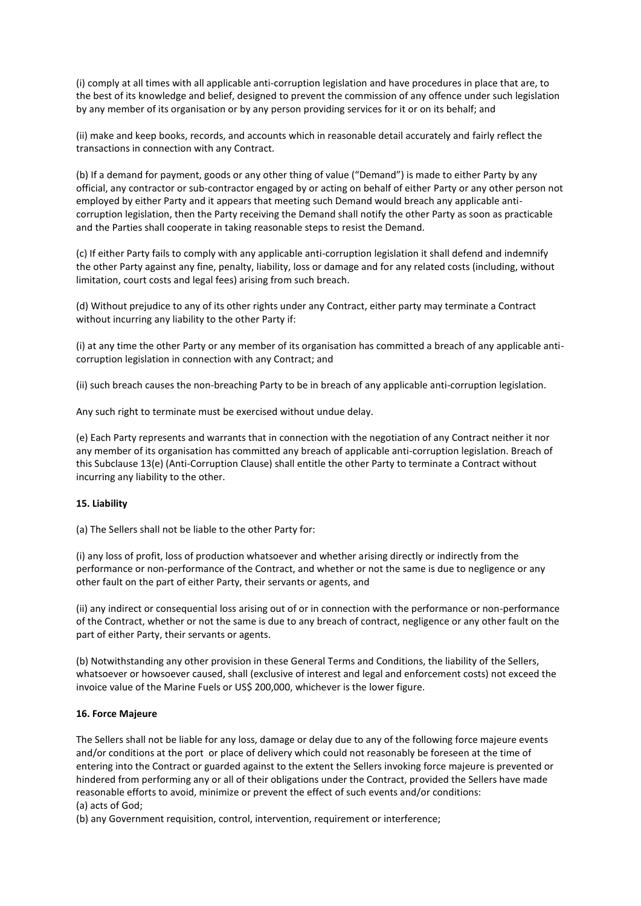(i) comply at all times with all applicable anti-corruption legislation and have procedures in place that are, to the best of its knowledge and belief, designed to prevent the commission of any offence under such legislation by any member of its organisation or by any person providing services for it or on its behalf; and

(ii) make and keep books, records, and accounts which in reasonable detail accurately and fairly reflect the transactions in connection with any Contract.

(b) If a demand for payment, goods or any other thing of value ("Demand") is made to either Party by any official, any contractor or sub-contractor engaged by or acting on behalf of either Party or any other person not employed by either Party and it appears that meeting such Demand would breach any applicable anticorruption legislation, then the Party receiving the Demand shall notify the other Party as soon as practicable and the Parties shall cooperate in taking reasonable steps to resist the Demand.

(c) If either Party fails to comply with any applicable anti-corruption legislation it shall defend and indemnify the other Party against any fine, penalty, liability, loss or damage and for any related costs (including, without limitation, court costs and legal fees) arising from such breach.

(d) Without prejudice to any of its other rights under any Contract, either party may terminate a Contract without incurring any liability to the other Party if:

(i) at any time the other Party or any member of its organisation has committed a breach of any applicable anticorruption legislation in connection with any Contract; and

(ii) such breach causes the non-breaching Party to be in breach of any applicable anti-corruption legislation.

Any such right to terminate must be exercised without undue delay.

(e) Each Party represents and warrants that in connection with the negotiation of any Contract neither it nor any member of its organisation has committed any breach of applicable anti-corruption legislation. Breach of this Subclause 13(e) (Anti-Corruption Clause) shall entitle the other Party to terminate a Contract without incurring any liability to the other.

# **15. Liability**

(a) The Sellers shall not be liable to the other Party for:

(i) any loss of profit, loss of production whatsoever and whether arising directly or indirectly from the performance or non-performance of the Contract, and whether or not the same is due to negligence or any other fault on the part of either Party, their servants or agents, and

(ii) any indirect or consequential loss arising out of or in connection with the performance or non-performance of the Contract, whether or not the same is due to any breach of contract, negligence or any other fault on the part of either Party, their servants or agents.

(b) Notwithstanding any other provision in these General Terms and Conditions, the liability of the Sellers, whatsoever or howsoever caused, shall (exclusive of interest and legal and enforcement costs) not exceed the invoice value of the Marine Fuels or US\$ 200,000, whichever is the lower figure.

# **16. Force Majeure**

The Sellers shall not be liable for any loss, damage or delay due to any of the following force majeure events and/or conditions at the port or place of delivery which could not reasonably be foreseen at the time of entering into the Contract or guarded against to the extent the Sellers invoking force majeure is prevented or hindered from performing any or all of their obligations under the Contract, provided the Sellers have made reasonable efforts to avoid, minimize or prevent the effect of such events and/or conditions: (a) acts of God;

(b) any Government requisition, control, intervention, requirement or interference;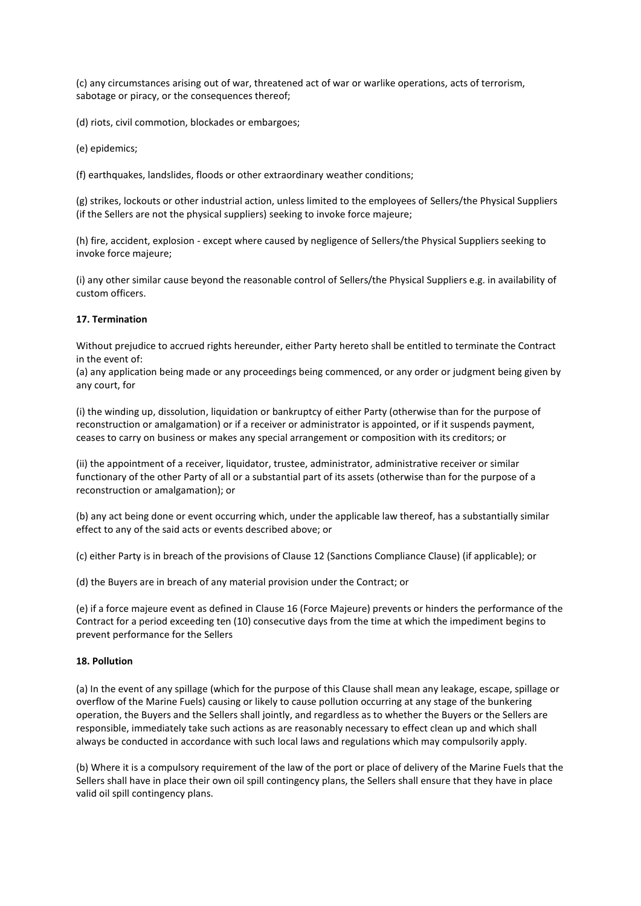(c) any circumstances arising out of war, threatened act of war or warlike operations, acts of terrorism, sabotage or piracy, or the consequences thereof;

(d) riots, civil commotion, blockades or embargoes;

(e) epidemics;

(f) earthquakes, landslides, floods or other extraordinary weather conditions;

(g) strikes, lockouts or other industrial action, unless limited to the employees of Sellers/the Physical Suppliers (if the Sellers are not the physical suppliers) seeking to invoke force majeure;

(h) fire, accident, explosion - except where caused by negligence of Sellers/the Physical Suppliers seeking to invoke force majeure;

(i) any other similar cause beyond the reasonable control of Sellers/the Physical Suppliers e.g. in availability of custom officers.

### **17. Termination**

Without prejudice to accrued rights hereunder, either Party hereto shall be entitled to terminate the Contract in the event of:

(a) any application being made or any proceedings being commenced, or any order or judgment being given by any court, for

(i) the winding up, dissolution, liquidation or bankruptcy of either Party (otherwise than for the purpose of reconstruction or amalgamation) or if a receiver or administrator is appointed, or if it suspends payment, ceases to carry on business or makes any special arrangement or composition with its creditors; or

(ii) the appointment of a receiver, liquidator, trustee, administrator, administrative receiver or similar functionary of the other Party of all or a substantial part of its assets (otherwise than for the purpose of a reconstruction or amalgamation); or

(b) any act being done or event occurring which, under the applicable law thereof, has a substantially similar effect to any of the said acts or events described above; or

(c) either Party is in breach of the provisions of Clause 12 (Sanctions Compliance Clause) (if applicable); or

(d) the Buyers are in breach of any material provision under the Contract; or

(e) if a force majeure event as defined in Clause 16 (Force Majeure) prevents or hinders the performance of the Contract for a period exceeding ten (10) consecutive days from the time at which the impediment begins to prevent performance for the Sellers

### **18. Pollution**

(a) In the event of any spillage (which for the purpose of this Clause shall mean any leakage, escape, spillage or overflow of the Marine Fuels) causing or likely to cause pollution occurring at any stage of the bunkering operation, the Buyers and the Sellers shall jointly, and regardless as to whether the Buyers or the Sellers are responsible, immediately take such actions as are reasonably necessary to effect clean up and which shall always be conducted in accordance with such local laws and regulations which may compulsorily apply.

(b) Where it is a compulsory requirement of the law of the port or place of delivery of the Marine Fuels that the Sellers shall have in place their own oil spill contingency plans, the Sellers shall ensure that they have in place valid oil spill contingency plans.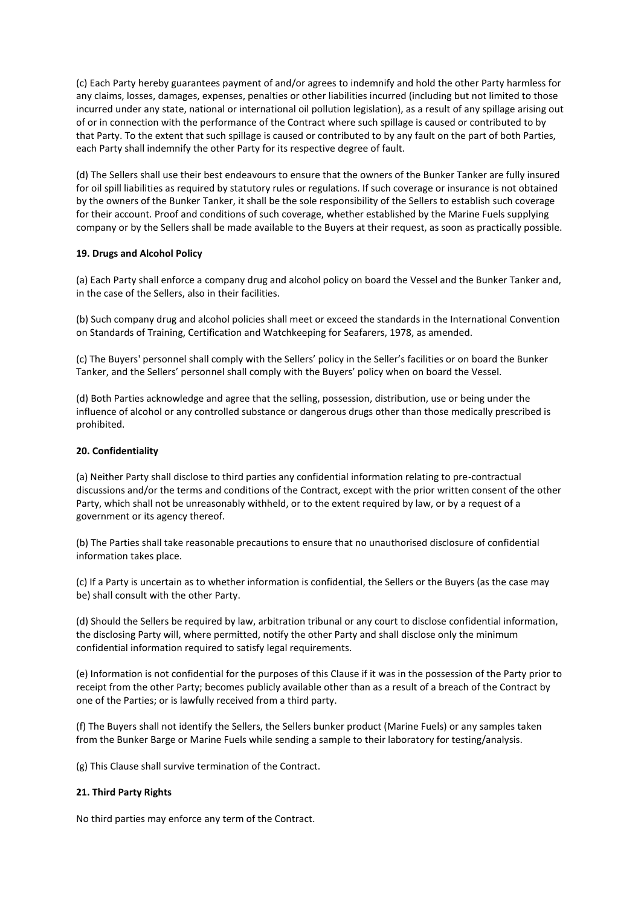(c) Each Party hereby guarantees payment of and/or agrees to indemnify and hold the other Party harmless for any claims, losses, damages, expenses, penalties or other liabilities incurred (including but not limited to those incurred under any state, national or international oil pollution legislation), as a result of any spillage arising out of or in connection with the performance of the Contract where such spillage is caused or contributed to by that Party. To the extent that such spillage is caused or contributed to by any fault on the part of both Parties, each Party shall indemnify the other Party for its respective degree of fault.

(d) The Sellers shall use their best endeavours to ensure that the owners of the Bunker Tanker are fully insured for oil spill liabilities as required by statutory rules or regulations. If such coverage or insurance is not obtained by the owners of the Bunker Tanker, it shall be the sole responsibility of the Sellers to establish such coverage for their account. Proof and conditions of such coverage, whether established by the Marine Fuels supplying company or by the Sellers shall be made available to the Buyers at their request, as soon as practically possible.

# **19. Drugs and Alcohol Policy**

(a) Each Party shall enforce a company drug and alcohol policy on board the Vessel and the Bunker Tanker and, in the case of the Sellers, also in their facilities.

(b) Such company drug and alcohol policies shall meet or exceed the standards in the International Convention on Standards of Training, Certification and Watchkeeping for Seafarers, 1978, as amended.

(c) The Buyers' personnel shall comply with the Sellers' policy in the Seller's facilities or on board the Bunker Tanker, and the Sellers' personnel shall comply with the Buyers' policy when on board the Vessel.

(d) Both Parties acknowledge and agree that the selling, possession, distribution, use or being under the influence of alcohol or any controlled substance or dangerous drugs other than those medically prescribed is prohibited.

### **20. Confidentiality**

(a) Neither Party shall disclose to third parties any confidential information relating to pre-contractual discussions and/or the terms and conditions of the Contract, except with the prior written consent of the other Party, which shall not be unreasonably withheld, or to the extent required by law, or by a request of a government or its agency thereof.

(b) The Parties shall take reasonable precautions to ensure that no unauthorised disclosure of confidential information takes place.

(c) If a Party is uncertain as to whether information is confidential, the Sellers or the Buyers (as the case may be) shall consult with the other Party.

(d) Should the Sellers be required by law, arbitration tribunal or any court to disclose confidential information, the disclosing Party will, where permitted, notify the other Party and shall disclose only the minimum confidential information required to satisfy legal requirements.

(e) Information is not confidential for the purposes of this Clause if it was in the possession of the Party prior to receipt from the other Party; becomes publicly available other than as a result of a breach of the Contract by one of the Parties; or is lawfully received from a third party.

(f) The Buyers shall not identify the Sellers, the Sellers bunker product (Marine Fuels) or any samples taken from the Bunker Barge or Marine Fuels while sending a sample to their laboratory for testing/analysis.

(g) This Clause shall survive termination of the Contract.

### **21. Third Party Rights**

No third parties may enforce any term of the Contract.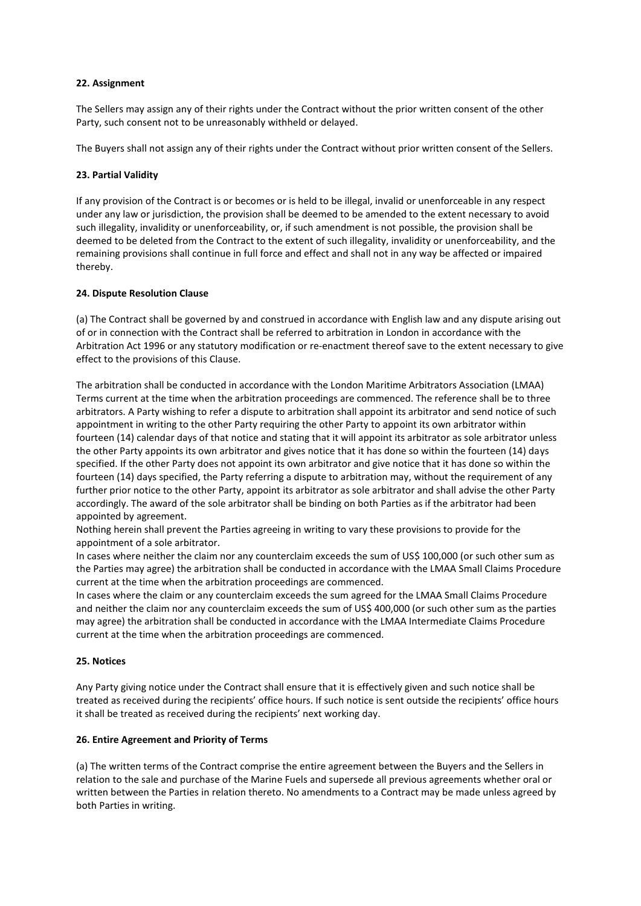### **22. Assignment**

The Sellers may assign any of their rights under the Contract without the prior written consent of the other Party, such consent not to be unreasonably withheld or delayed.

The Buyers shall not assign any of their rights under the Contract without prior written consent of the Sellers.

### **23. Partial Validity**

If any provision of the Contract is or becomes or is held to be illegal, invalid or unenforceable in any respect under any law or jurisdiction, the provision shall be deemed to be amended to the extent necessary to avoid such illegality, invalidity or unenforceability, or, if such amendment is not possible, the provision shall be deemed to be deleted from the Contract to the extent of such illegality, invalidity or unenforceability, and the remaining provisions shall continue in full force and effect and shall not in any way be affected or impaired thereby.

### **24. Dispute Resolution Clause**

(a) The Contract shall be governed by and construed in accordance with English law and any dispute arising out of or in connection with the Contract shall be referred to arbitration in London in accordance with the Arbitration Act 1996 or any statutory modification or re-enactment thereof save to the extent necessary to give effect to the provisions of this Clause.

The arbitration shall be conducted in accordance with the London Maritime Arbitrators Association (LMAA) Terms current at the time when the arbitration proceedings are commenced. The reference shall be to three arbitrators. A Party wishing to refer a dispute to arbitration shall appoint its arbitrator and send notice of such appointment in writing to the other Party requiring the other Party to appoint its own arbitrator within fourteen (14) calendar days of that notice and stating that it will appoint its arbitrator as sole arbitrator unless the other Party appoints its own arbitrator and gives notice that it has done so within the fourteen (14) days specified. If the other Party does not appoint its own arbitrator and give notice that it has done so within the fourteen (14) days specified, the Party referring a dispute to arbitration may, without the requirement of any further prior notice to the other Party, appoint its arbitrator as sole arbitrator and shall advise the other Party accordingly. The award of the sole arbitrator shall be binding on both Parties as if the arbitrator had been appointed by agreement.

Nothing herein shall prevent the Parties agreeing in writing to vary these provisions to provide for the appointment of a sole arbitrator.

In cases where neither the claim nor any counterclaim exceeds the sum of US\$ 100,000 (or such other sum as the Parties may agree) the arbitration shall be conducted in accordance with the LMAA Small Claims Procedure current at the time when the arbitration proceedings are commenced.

In cases where the claim or any counterclaim exceeds the sum agreed for the LMAA Small Claims Procedure and neither the claim nor any counterclaim exceeds the sum of US\$ 400,000 (or such other sum as the parties may agree) the arbitration shall be conducted in accordance with the LMAA Intermediate Claims Procedure current at the time when the arbitration proceedings are commenced.

### **25. Notices**

Any Party giving notice under the Contract shall ensure that it is effectively given and such notice shall be treated as received during the recipients' office hours. If such notice is sent outside the recipients' office hours it shall be treated as received during the recipients' next working day.

### **26. Entire Agreement and Priority of Terms**

(a) The written terms of the Contract comprise the entire agreement between the Buyers and the Sellers in relation to the sale and purchase of the Marine Fuels and supersede all previous agreements whether oral or written between the Parties in relation thereto. No amendments to a Contract may be made unless agreed by both Parties in writing.